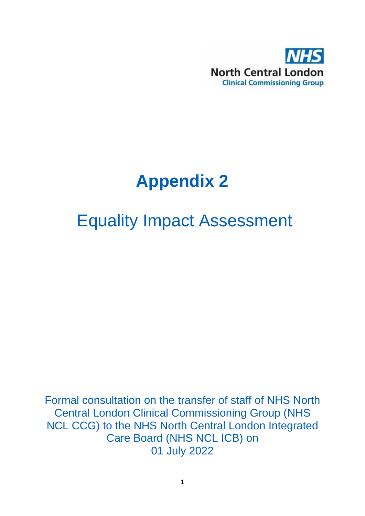

# **Appendix 2**

## Equality Impact Assessment

Formal consultation on the transfer of staff of NHS North Central London Clinical Commissioning Group (NHS NCL CCG) to the NHS North Central London Integrated Care Board (NHS NCL ICB) on 01 July 2022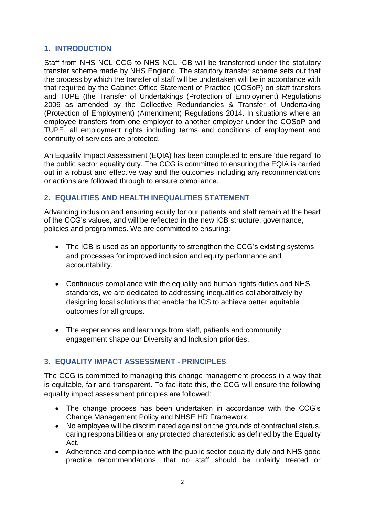## **1. INTRODUCTION**

Staff from NHS NCL CCG to NHS NCL ICB will be transferred under the statutory transfer scheme made by NHS England. The statutory transfer scheme sets out that the process by which the transfer of staff will be undertaken will be in accordance with that required by the Cabinet Office Statement of Practice (COSoP) on staff transfers and TUPE (the Transfer of Undertakings (Protection of Employment) Regulations 2006 as amended by the Collective Redundancies & Transfer of Undertaking (Protection of Employment) (Amendment) Regulations 2014. In situations where an employee transfers from one employer to another employer under the COSoP and TUPE, all employment rights including terms and conditions of employment and continuity of services are protected.

An Equality Impact Assessment (EQIA) has been completed to ensure 'due regard' to the public sector equality duty. The CCG is committed to ensuring the EQIA is carried out in a robust and effective way and the outcomes including any recommendations or actions are followed through to ensure compliance.

## **2. EQUALITIES AND HEALTH INEQUALITIES STATEMENT**

Advancing inclusion and ensuring equity for our patients and staff remain at the heart of the CCG's values, and will be reflected in the new ICB structure, governance, policies and programmes. We are committed to ensuring:

- The ICB is used as an opportunity to strengthen the CCG's existing systems and processes for improved inclusion and equity performance and accountability.
- Continuous compliance with the equality and human rights duties and NHS standards, we are dedicated to addressing inequalities collaboratively by designing local solutions that enable the ICS to achieve better equitable outcomes for all groups.
- The experiences and learnings from staff, patients and community engagement shape our Diversity and Inclusion priorities.

## **3. EQUALITY IMPACT ASSESSMENT - PRINCIPLES**

The CCG is committed to managing this change management process in a way that is equitable, fair and transparent. To facilitate this, the CCG will ensure the following equality impact assessment principles are followed:

- The change process has been undertaken in accordance with the CCG's Change Management Policy and NHSE HR Framework.
- No employee will be discriminated against on the grounds of contractual status, caring responsibilities or any protected characteristic as defined by the Equality Act.
- Adherence and compliance with the public sector equality duty and NHS good practice recommendations; that no staff should be unfairly treated or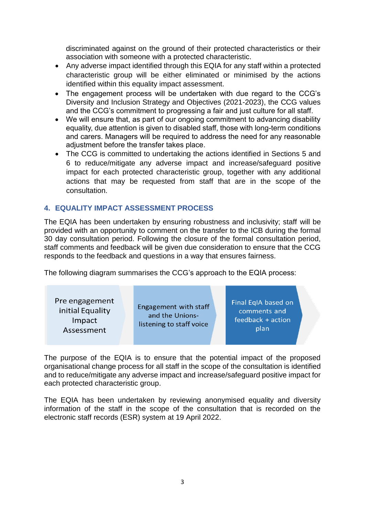discriminated against on the ground of their protected characteristics or their association with someone with a protected characteristic.

- Any adverse impact identified through this EQIA for any staff within a protected characteristic group will be either eliminated or minimised by the actions identified within this equality impact assessment.
- The engagement process will be undertaken with due regard to the CCG's Diversity and Inclusion Strategy and Objectives (2021-2023), the CCG values and the CCG's commitment to progressing a fair and just culture for all staff.
- We will ensure that, as part of our ongoing commitment to advancing disability equality, due attention is given to disabled staff, those with long-term conditions and carers. Managers will be required to address the need for any reasonable adjustment before the transfer takes place.
- The CCG is committed to undertaking the actions identified in Sections 5 and 6 to reduce/mitigate any adverse impact and increase/safeguard positive impact for each protected characteristic group, together with any additional actions that may be requested from staff that are in the scope of the consultation.

## **4. EQUALITY IMPACT ASSESSMENT PROCESS**

The EQIA has been undertaken by ensuring robustness and inclusivity; staff will be provided with an opportunity to comment on the transfer to the ICB during the formal 30 day consultation period. Following the closure of the formal consultation period, staff comments and feedback will be given due consideration to ensure that the CCG responds to the feedback and questions in a way that ensures fairness.

The following diagram summarises the CCG's approach to the EQIA process:

The purpose of the EQIA is to ensure that the potential impact of the proposed organisational change process for all staff in the scope of the consultation is identified and to reduce/mitigate any adverse impact and increase/safeguard positive impact for each protected characteristic group.

The EQIA has been undertaken by reviewing anonymised equality and diversity information of the staff in the scope of the consultation that is recorded on the electronic staff records (ESR) system at 19 April 2022.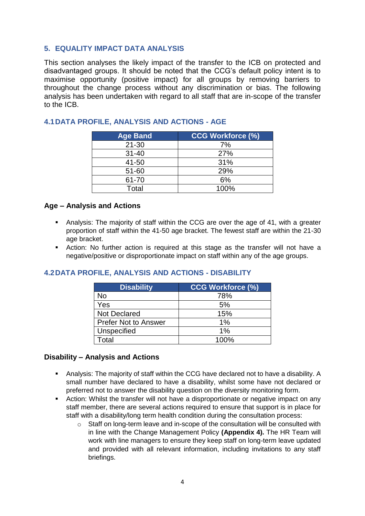## **5. EQUALITY IMPACT DATA ANALYSIS**

This section analyses the likely impact of the transfer to the ICB on protected and disadvantaged groups. It should be noted that the CCG's default policy intent is to maximise opportunity (positive impact) for all groups by removing barriers to throughout the change process without any discrimination or bias. The following analysis has been undertaken with regard to all staff that are in-scope of the transfer to the ICB.

| <b>Age Band</b> | <b>CCG Workforce (%)</b> |
|-----------------|--------------------------|
| $21 - 30$       | 7%                       |
| $31 - 40$       | 27%                      |
| 41-50           | 31%                      |
| $51 - 60$       | 29%                      |
| 61-70           | 6%                       |
| Total           | 100%                     |

## **4.1DATA PROFILE, ANALYSIS AND ACTIONS - AGE**

#### **Age – Analysis and Actions**

- Analysis: The majority of staff within the CCG are over the age of 41, with a greater proportion of staff within the 41-50 age bracket. The fewest staff are within the 21-30 age bracket.
- Action: No further action is required at this stage as the transfer will not have a negative/positive or disproportionate impact on staff within any of the age groups.

## **4.2DATA PROFILE, ANALYSIS AND ACTIONS - DISABILITY**

| <b>Disability</b>           | <b>CCG Workforce (%)</b> |
|-----------------------------|--------------------------|
| <b>No</b>                   | 78%                      |
| Yes                         | 5%                       |
| <b>Not Declared</b>         | 15%                      |
| <b>Prefer Not to Answer</b> | 1%                       |
| Unspecified                 | 1%                       |
| ⊺otal                       | 100%                     |

#### **Disability – Analysis and Actions**

- Analysis: The majority of staff within the CCG have declared not to have a disability. A small number have declared to have a disability, whilst some have not declared or preferred not to answer the disability question on the diversity monitoring form.
- **Action: Whilst the transfer will not have a disproportionate or negative impact on any** staff member, there are several actions required to ensure that support is in place for staff with a disability/long term health condition during the consultation process:
	- $\circ$  Staff on long-term leave and in-scope of the consultation will be consulted with in line with the Change Management Policy **(Appendix 4).** The HR Team will work with line managers to ensure they keep staff on long-term leave updated and provided with all relevant information, including invitations to any staff briefings.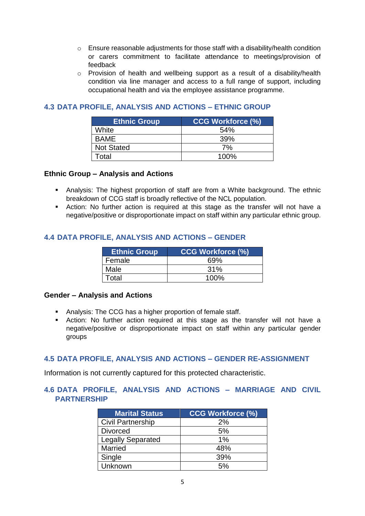- $\circ$  Ensure reasonable adjustments for those staff with a disability/health condition or carers commitment to facilitate attendance to meetings/provision of feedback
- o Provision of health and wellbeing support as a result of a disability/health condition via line manager and access to a full range of support, including occupational health and via the employee assistance programme.

## **4.3 DATA PROFILE, ANALYSIS AND ACTIONS – ETHNIC GROUP**

| <b>Ethnic Group</b> | <b>CCG Workforce (%)</b> |
|---------------------|--------------------------|
| White               | 54%                      |
| <b>BAME</b>         | 39%                      |
| <b>Not Stated</b>   | 7%                       |
| Total               | 100%                     |

#### **Ethnic Group – Analysis and Actions**

- Analysis: The highest proportion of staff are from a White background. The ethnic breakdown of CCG staff is broadly reflective of the NCL population.
- Action: No further action is required at this stage as the transfer will not have a negative/positive or disproportionate impact on staff within any particular ethnic group.

## **4.4 DATA PROFILE, ANALYSIS AND ACTIONS – GENDER**

| <b>Ethnic Group</b> | <b>CCG Workforce (%)</b> |
|---------------------|--------------------------|
| Female              | 69%                      |
| Male                | 31%                      |
| Total               | 100%                     |

#### **Gender – Analysis and Actions**

- Analysis: The CCG has a higher proportion of female staff.
- Action: No further action required at this stage as the transfer will not have a negative/positive or disproportionate impact on staff within any particular gender groups

#### **4.5 DATA PROFILE, ANALYSIS AND ACTIONS – GENDER RE-ASSIGNMENT**

Information is not currently captured for this protected characteristic.

## **4.6 DATA PROFILE, ANALYSIS AND ACTIONS – MARRIAGE AND CIVIL PARTNERSHIP**

| <b>Marital Status</b>    | <b>CCG Workforce (%)</b> |
|--------------------------|--------------------------|
| <b>Civil Partnership</b> | 2%                       |
| <b>Divorced</b>          | 5%                       |
| <b>Legally Separated</b> | $1\%$                    |
| Married                  | 48%                      |
| Single                   | 39%                      |
| Unknown                  | 5%                       |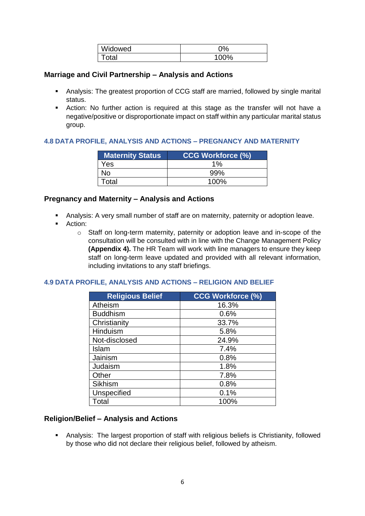| Widowed           | <b>no</b>  |
|-------------------|------------|
| <sup>'</sup> otal | 100%<br>70 |

#### **Marriage and Civil Partnership – Analysis and Actions**

- Analysis: The greatest proportion of CCG staff are married, followed by single marital status.
- Action: No further action is required at this stage as the transfer will not have a negative/positive or disproportionate impact on staff within any particular marital status group.

#### **4.8 DATA PROFILE, ANALYSIS AND ACTIONS – PREGNANCY AND MATERNITY**

| <b>Maternity Status</b> | <b>CCG Workforce (%)</b> |
|-------------------------|--------------------------|
| Yes                     | 1%                       |
| No                      | .99%                     |
| Total                   | 100%                     |

#### **Pregnancy and Maternity – Analysis and Actions**

- Analysis: A very small number of staff are on maternity, paternity or adoption leave.
- **Action:** 
	- o Staff on long-term maternity, paternity or adoption leave and in-scope of the consultation will be consulted with in line with the Change Management Policy **(Appendix 4).** The HR Team will work with line managers to ensure they keep staff on long-term leave updated and provided with all relevant information, including invitations to any staff briefings.

#### **4.9 DATA PROFILE, ANALYSIS AND ACTIONS – RELIGION AND BELIEF**

| <b>Religious Belief</b> | <b>CCG Workforce (%)</b> |
|-------------------------|--------------------------|
| Atheism                 | 16.3%                    |
| <b>Buddhism</b>         | 0.6%                     |
| Christianity            | 33.7%                    |
| Hinduism                | 5.8%                     |
| Not-disclosed           | 24.9%                    |
| Islam                   | 7.4%                     |
| Jainism                 | 0.8%                     |
| Judaism                 | 1.8%                     |
| Other                   | 7.8%                     |
| <b>Sikhism</b>          | 0.8%                     |
| <b>Unspecified</b>      | 0.1%                     |
| Total                   | 100%                     |

#### **Religion/Belief – Analysis and Actions**

 Analysis: The largest proportion of staff with religious beliefs is Christianity, followed by those who did not declare their religious belief, followed by atheism.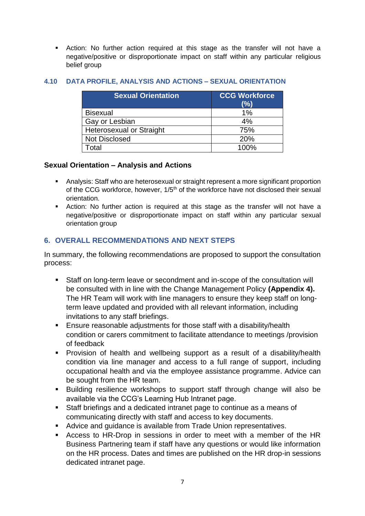Action: No further action required at this stage as the transfer will not have a negative/positive or disproportionate impact on staff within any particular religious belief group

| <b>Sexual Orientation</b>       | <b>CCG Workforce</b><br>(%) |
|---------------------------------|-----------------------------|
| <b>Bisexual</b>                 | 1%                          |
| Gay or Lesbian                  | 4%                          |
| <b>Heterosexual or Straight</b> | 75%                         |
| <b>Not Disclosed</b>            | 20%                         |
| ั∩tal                           | 100%                        |

#### **4.10 DATA PROFILE, ANALYSIS AND ACTIONS – SEXUAL ORIENTATION**

#### **Sexual Orientation – Analysis and Actions**

- Analysis: Staff who are heterosexual or straight represent a more significant proportion of the CCG workforce, however, 1/5<sup>th</sup> of the workforce have not disclosed their sexual orientation.
- Action: No further action is required at this stage as the transfer will not have a negative/positive or disproportionate impact on staff within any particular sexual orientation group

## **6. OVERALL RECOMMENDATIONS AND NEXT STEPS**

In summary, the following recommendations are proposed to support the consultation process:

- Staff on long-term leave or secondment and in-scope of the consultation will be consulted with in line with the Change Management Policy **(Appendix 4).**  The HR Team will work with line managers to ensure they keep staff on longterm leave updated and provided with all relevant information, including invitations to any staff briefings.
- Ensure reasonable adjustments for those staff with a disability/health condition or carers commitment to facilitate attendance to meetings /provision of feedback
- Provision of health and wellbeing support as a result of a disability/health condition via line manager and access to a full range of support, including occupational health and via the employee assistance programme. Advice can be sought from the HR team.
- Building resilience workshops to support staff through change will also be available via the CCG's Learning Hub Intranet page.
- Staff briefings and a dedicated intranet page to continue as a means of communicating directly with staff and access to key documents.
- Advice and quidance is available from Trade Union representatives.
- Access to HR-Drop in sessions in order to meet with a member of the HR Business Partnering team if staff have any questions or would like information on the HR process. Dates and times are published on the HR drop-in sessions dedicated intranet page.